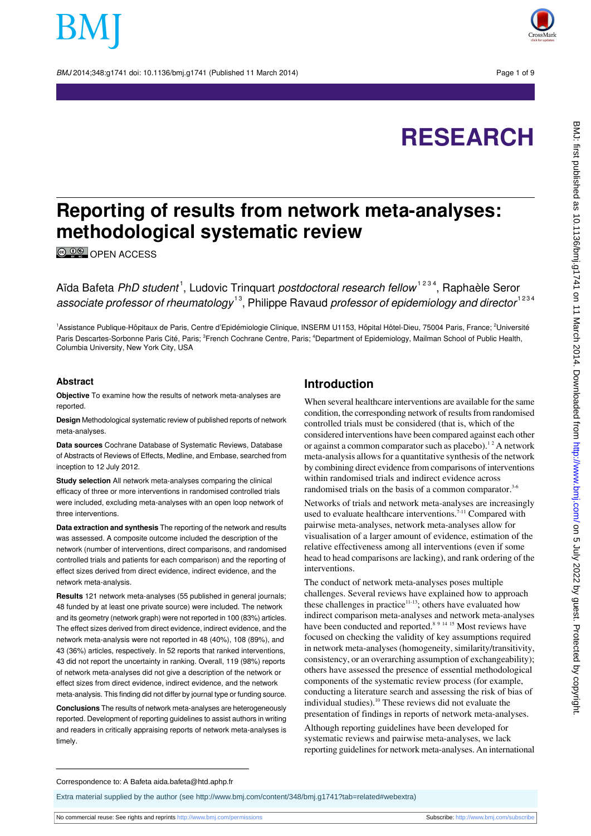BMJ 2014;348:g1741 doi: 10.1136/bmj.g1741 (Published 11 March 2014) Page 1 of 9



# **RESEARCH**

# **Reporting of results from network meta-analyses: methodological systematic review**

**© 00** [OPEN ACCESS](http://creativecommons.org/licenses/by-nc/3.0/)

Aïda Bafeta *PhD student* <sup>1</sup>, Ludovic Trinquart *postdoctoral research fellow* <sup>1234</sup>, Raphaèle Seror associate professor of rheumatology<sup>13</sup>, Philippe Ravaud professor of epidemiology and director<sup>1234</sup>

<sup>1</sup>Assistance Publique-Hôpitaux de Paris, Centre d'Epidémiologie Clinique, INSERM U1153, Hôpital Hôtel-Dieu, 75004 Paris, France; <sup>2</sup>Université Paris Descartes-Sorbonne Paris Cité, Paris; <sup>3</sup>French Cochrane Centre, Paris; <sup>4</sup>Department of Epidemiology, Mailman School of Public Health, Columbia University, New York City, USA

#### **Abstract**

**Objective** To examine how the results of network meta-analyses are reported.

**Design** Methodological systematic review of published reports of network meta-analyses.

**Data sources** Cochrane Database of Systematic Reviews, Database of Abstracts of Reviews of Effects, Medline, and Embase, searched from inception to 12 July 2012.

**Study selection** All network meta-analyses comparing the clinical efficacy of three or more interventions in randomised controlled trials were included, excluding meta-analyses with an open loop network of three interventions.

**Data extraction and synthesis** The reporting of the network and results was assessed. A composite outcome included the description of the network (number of interventions, direct comparisons, and randomised controlled trials and patients for each comparison) and the reporting of effect sizes derived from direct evidence, indirect evidence, and the network meta-analysis.

**Results** 121 network meta-analyses (55 published in general journals; 48 funded by at least one private source) were included. The network and its geometry (network graph) were not reported in 100 (83%) articles. The effect sizes derived from direct evidence, indirect evidence, and the network meta-analysis were not reported in 48 (40%), 108 (89%), and 43 (36%) articles, respectively. In 52 reports that ranked interventions, 43 did not report the uncertainty in ranking. Overall, 119 (98%) reports of network meta-analyses did not give a description of the network or effect sizes from direct evidence, indirect evidence, and the network meta-analysis. This finding did not differ by journal type or funding source.

**Conclusions** The results of network meta-analyses are heterogeneously reported. Development of reporting guidelines to assist authors in writing and readers in critically appraising reports of network meta-analyses is timely.

### **Introduction**

When several healthcare interventions are available for the same condition, the corresponding network of results from randomised controlled trials must be considered (that is, which of the considered interventions have been compared against each other or against a common comparator such as placebo).<sup>12</sup> A network meta-analysis allows for a quantitative synthesis of the network by combining direct evidence from comparisons of interventions within randomised trials and indirect evidence across randomised trials on the basis of a common comparator.<sup>3-6</sup>

Networks of trials and network meta-analyses are increasingly used to evaluate healthcare interventions.<sup>7-11</sup> Compared with pairwise meta-analyses, network meta-analyses allow for visualisation of a larger amount of evidence, estimation of the relative effectiveness among all interventions (even if some head to head comparisons are lacking), and rank ordering of the interventions.

The conduct of network meta-analyses poses multiple challenges. Several reviews have explained how to approach these challenges in practice<sup>11-13</sup>; others have evaluated how indirect comparison meta-analyses and network meta-analyses have been conducted and reported.<sup>8 9 14 15</sup> Most reviews have focused on checking the validity of key assumptions required in network meta-analyses (homogeneity, similarity/transitivity, consistency, or an overarching assumption of exchangeability); others have assessed the presence of essential methodological components of the systematic review process (for example, conducting a literature search and assessing the risk of bias of individual studies).<sup>10</sup> These reviews did not evaluate the presentation of findings in reports of network meta-analyses.

Although reporting guidelines have been developed for systematic reviews and pairwise meta-analyses, we lack reporting guidelines for network meta-analyses. An international

#### Correspondence to: A Bafeta aida.bafeta@htd.aphp.fr

Extra material supplied by the author (see [http://www.bmj.com/content/348/bmj.g1741?tab=related#webextra\)](http://www.bmj.com/content/348/bmj.g1741?tab=related#webextra)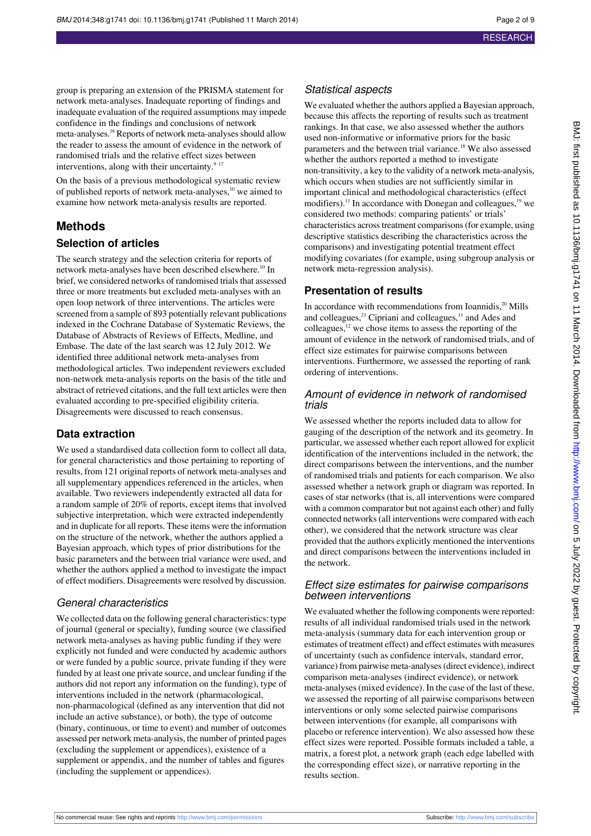group is preparing an extension of the PRISMA statement for network meta-analyses. Inadequate reporting of findings and inadequate evaluation of the required assumptions may impede confidence in the findings and conclusions of network meta-analyses.<sup>16</sup> Reports of network meta-analyses should allow the reader to assess the amount of evidence in the network of randomised trials and the relative effect sizes between interventions, along with their uncertainty.<sup>9 17</sup>

On the basis of a previous methodological systematic review of published reports of network meta-analyses, $10$  we aimed to examine how network meta-analysis results are reported.

### **Methods**

### **Selection of articles**

The search strategy and the selection criteria for reports of network meta-analyses have been described elsewhere.<sup>10</sup> In brief, we considered networks of randomised trials that assessed three or more treatments but excluded meta-analyses with an open loop network of three interventions. The articles were screened from a sample of 893 potentially relevant publications indexed in the Cochrane Database of Systematic Reviews, the Database of Abstracts of Reviews of Effects, Medline, and Embase. The date of the last search was 12 July 2012. We identified three additional network meta-analyses from methodological articles. Two independent reviewers excluded non-network meta-analysis reports on the basis of the title and abstract of retrieved citations, and the full text articles were then evaluated according to pre-specified eligibility criteria. Disagreements were discussed to reach consensus.

### **Data extraction**

We used a standardised data collection form to collect all data, for general characteristics and those pertaining to reporting of results, from 121 original reports of network meta-analyses and all supplementary appendices referenced in the articles, when available. Two reviewers independently extracted all data for a random sample of 20% of reports, except items that involved subjective interpretation, which were extracted independently and in duplicate for all reports. These items were the information on the structure of the network, whether the authors applied a Bayesian approach, which types of prior distributions for the basic parameters and the between trial variance were used, and whether the authors applied a method to investigate the impact of effect modifiers. Disagreements were resolved by discussion.

### General characteristics

We collected data on the following general characteristics: type of journal (general or specialty), funding source (we classified network meta-analyses as having public funding if they were explicitly not funded and were conducted by academic authors or were funded by a public source, private funding if they were funded by at least one private source, and unclear funding if the authors did not report any information on the funding), type of interventions included in the network (pharmacological, non-pharmacological (defined as any intervention that did not include an active substance), or both), the type of outcome (binary, continuous, or time to event) and number of outcomes assessed per network meta-analysis, the number of printed pages (excluding the supplement or appendices), existence of a supplement or appendix, and the number of tables and figures (including the supplement or appendices).

### Statistical aspects

We evaluated whether the authors applied a Bayesian approach, because this affects the reporting of results such as treatment rankings. In that case, we also assessed whether the authors used non-informative or informative priors for the basic parameters and the between trial variance.<sup>18</sup> We also assessed whether the authors reported a method to investigate non-transitivity, a key to the validity of a network meta-analysis, which occurs when studies are not sufficiently similar in important clinical and methodological characteristics (effect modifiers).<sup>11</sup> In accordance with Donegan and colleagues,  $19$  we considered two methods: comparing patients' or trials' characteristics across treatment comparisons (for example, using descriptive statistics describing the characteristics across the comparisons) and investigating potential treatment effect modifying covariates (for example, using subgroup analysis or network meta-regression analysis).

### **Presentation of results**

In accordance with recommendations from Ioannidis,<sup>20</sup> Mills and colleagues, $21$  Cipriani and colleagues, $11$  and Ades and colleagues, $^{12}$  we chose items to assess the reporting of the amount of evidence in the network of randomised trials, and of effect size estimates for pairwise comparisons between interventions. Furthermore, we assessed the reporting of rank ordering of interventions.

#### Amount of evidence in network of randomised trials

We assessed whether the reports included data to allow for gauging of the description of the network and its geometry. In particular, we assessed whether each report allowed for explicit identification of the interventions included in the network, the direct comparisons between the interventions, and the number of randomised trials and patients for each comparison. We also assessed whether a network graph or diagram was reported. In cases of star networks (that is, all interventions were compared with a common comparator but not against each other) and fully connected networks (all interventions were compared with each other), we considered that the network structure was clear provided that the authors explicitly mentioned the interventions and direct comparisons between the interventions included in the network.

#### Effect size estimates for pairwise comparisons between interventions

We evaluated whether the following components were reported: results of all individual randomised trials used in the network meta-analysis (summary data for each intervention group or estimates of treatment effect) and effect estimates with measures of uncertainty (such as confidence intervals, standard error, variance) from pairwise meta-analyses (direct evidence), indirect comparison meta-analyses (indirect evidence), or network meta-analyses (mixed evidence). In the case of the last of these, we assessed the reporting of all pairwise comparisons between interventions or only some selected pairwise comparisons between interventions (for example, all comparisons with placebo or reference intervention). We also assessed how these effect sizes were reported. Possible formats included a table, a matrix, a forest plot, a network graph (each edge labelled with the corresponding effect size), or narrative reporting in the results section.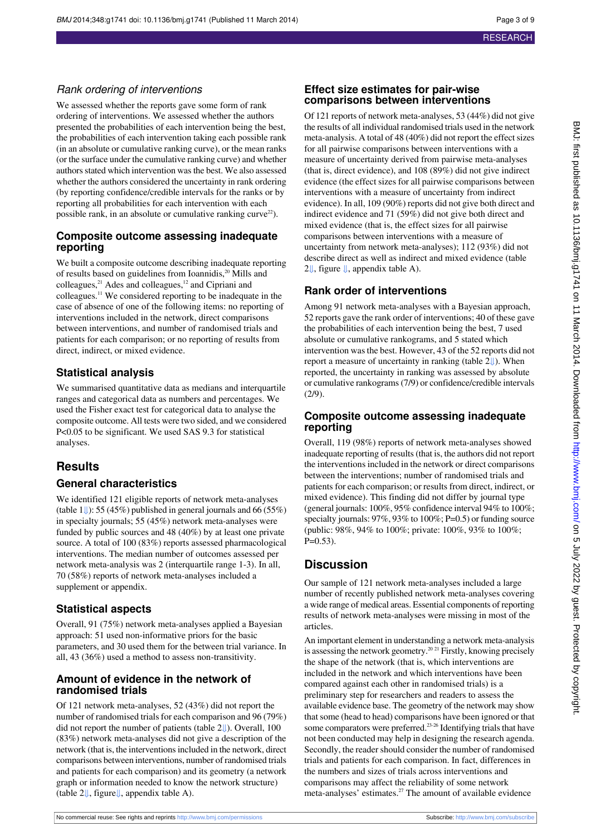# Rank ordering of interventions

We assessed whether the reports gave some form of rank ordering of interventions. We assessed whether the authors presented the probabilities of each intervention being the best, the probabilities of each intervention taking each possible rank (in an absolute or cumulative ranking curve), or the mean ranks (or the surface under the cumulative ranking curve) and whether authors stated which intervention was the best. We also assessed whether the authors considered the uncertainty in rank ordering (by reporting confidence/credible intervals for the ranks or by reporting all probabilities for each intervention with each possible rank, in an absolute or cumulative ranking curve<sup>22</sup>).

### **Composite outcome assessing inadequate reporting**

We built a composite outcome describing inadequate reporting of results based on guidelines from Ioannidis,<sup>20</sup> Mills and colleagues,<sup>21</sup> Ades and colleagues,<sup>12</sup> and Cipriani and colleagues.<sup>11</sup> We considered reporting to be inadequate in the case of absence of one of the following items: no reporting of interventions included in the network, direct comparisons between interventions, and number of randomised trials and patients for each comparison; or no reporting of results from direct, indirect, or mixed evidence.

## **Statistical analysis**

We summarised quantitative data as medians and interquartile ranges and categorical data as numbers and percentages. We used the Fisher exact test for categorical data to analyse the composite outcome. All tests were two sided, and we considered P<0.05 to be significant. We used SAS 9.3 for statistical analyses.

# **Results**

## **General characteristics**

We identified 121 eligible reports of network meta-analyses (table 1 $\parallel$ ): 55 (45%) published in general journals and 66 (55%) in specialty journals; 55 (45%) network meta-analyses were funded by public sources and 48 (40%) by at least one private source. A total of 100 (83%) reports assessed pharmacological interventions. The median number of outcomes assessed per network meta-analysis was 2 (interquartile range 1-3). In all, 70 (58%) reports of network meta-analyses included a supplement or appendix.

## **Statistical aspects**

Overall, 91 (75%) network meta-analyses applied a Bayesian approach: 51 used non-informative priors for the basic parameters, and 30 used them for the between trial variance. In all, 43 (36%) used a method to assess non-transitivity.

### **Amount of evidence in the network of randomised trials**

Of 121 network meta-analyses, 52 (43%) did not report the number of randomised trials for each comparison and 96 (79%) did not report the number of patients (table2[⇓\)](#page-6-0). Overall, 100 (83%) network meta-analyses did not give a description of the network (that is, the interventions included in the network, direct comparisons between interventions, number of randomised trials and patients for each comparison) and its geometry (a network graph or information needed to know the network structure) (table2[⇓,](#page-6-0) figure[⇓,](#page-8-0) appendix table A).

### **Effect size estimates for pair-wise comparisons between interventions**

Of 121 reports of network meta-analyses, 53 (44%) did not give the results of all individual randomised trials used in the network meta-analysis. A total of 48 (40%) did not report the effect sizes for all pairwise comparisons between interventions with a measure of uncertainty derived from pairwise meta-analyses (that is, direct evidence), and 108 (89%) did not give indirect evidence (the effect sizes for all pairwise comparisons between interventions with a measure of uncertainty from indirect evidence). In all, 109 (90%) reports did not give both direct and indirect evidence and 71 (59%) did not give both direct and mixed evidence (that is, the effect sizes for all pairwise comparisons between interventions with a measure of uncertainty from network meta-analyses); 112 (93%) did not describe direct as well as indirect and mixed evidence (table [2⇓](#page-6-0), figure [⇓,](#page-8-0) appendix table A).

# **Rank order of interventions**

Among 91 network meta-analyses with a Bayesian approach, 52 reports gave the rank order of interventions; 40 of these gave the probabilities of each intervention being the best, 7 used absolute or cumulative rankograms, and 5 stated which intervention was the best. However, 43 of the 52 reports did not report a measure of uncertainty in ranking (table2[⇓\)](#page-6-0). When reported, the uncertainty in ranking was assessed by absolute or cumulative rankograms (7/9) or confidence/credible intervals  $(2/9)$ .

### **Composite outcome assessing inadequate reporting**

Overall, 119 (98%) reports of network meta-analyses showed inadequate reporting of results (that is, the authors did not report the interventions included in the network or direct comparisons between the interventions; number of randomised trials and patients for each comparison; or results from direct, indirect, or mixed evidence). This finding did not differ by journal type (general journals: 100%, 95% confidence interval 94% to 100%; specialty journals: 97%, 93% to 100%; P=0.5) or funding source (public: 98%, 94% to 100%; private: 100%, 93% to 100%;  $P=0.53$ ).

# **Discussion**

Our sample of 121 network meta-analyses included a large number of recently published network meta-analyses covering a wide range of medical areas. Essential components of reporting results of network meta-analyses were missing in most of the articles.

An important element in understanding a network meta-analysis is assessing the network geometry.<sup>20 21</sup> Firstly, knowing precisely the shape of the network (that is, which interventions are included in the network and which interventions have been compared against each other in randomised trials) is a preliminary step for researchers and readers to assess the available evidence base. The geometry of the network may show that some (head to head) comparisons have been ignored or that some comparators were preferred.<sup>23-26</sup> Identifying trials that have not been conducted may help in designing the research agenda. Secondly, the reader should consider the number of randomised trials and patients for each comparison. In fact, differences in the numbers and sizes of trials across interventions and comparisons may affect the reliability of some network meta-analyses' estimates.<sup>27</sup> The amount of available evidence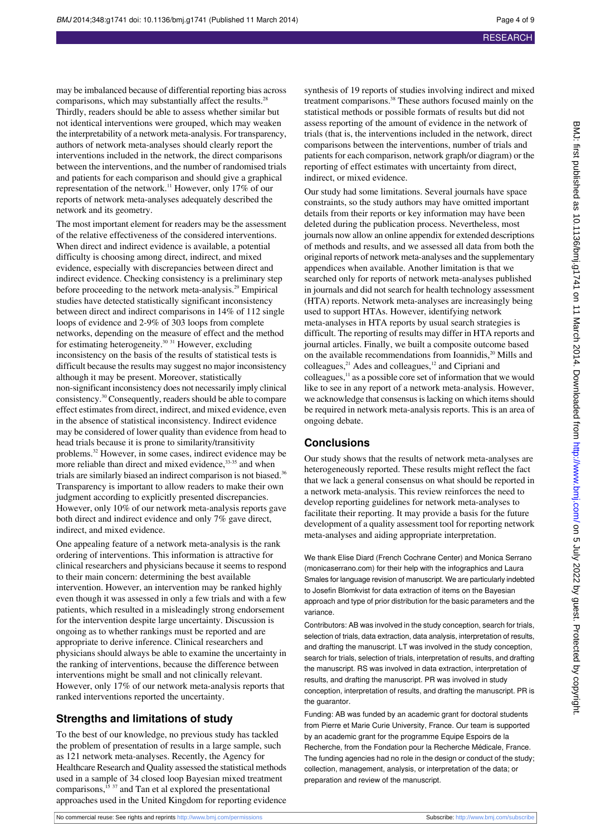may be imbalanced because of differential reporting bias across comparisons, which may substantially affect the results.<sup>28</sup> Thirdly, readers should be able to assess whether similar but not identical interventions were grouped, which may weaken the interpretability of a network meta-analysis. For transparency, authors of network meta-analyses should clearly report the interventions included in the network, the direct comparisons between the interventions, and the number of randomised trials and patients for each comparison and should give a graphical representation of the network.<sup>11</sup> However, only 17% of our reports of network meta-analyses adequately described the network and its geometry.

The most important element for readers may be the assessment of the relative effectiveness of the considered interventions. When direct and indirect evidence is available, a potential difficulty is choosing among direct, indirect, and mixed evidence, especially with discrepancies between direct and indirect evidence. Checking consistency is a preliminary step before proceeding to the network meta-analysis.<sup>29</sup> Empirical studies have detected statistically significant inconsistency between direct and indirect comparisons in 14% of 112 single loops of evidence and 2-9% of 303 loops from complete networks, depending on the measure of effect and the method for estimating heterogeneity.<sup>30 31</sup> However, excluding inconsistency on the basis of the results of statistical tests is difficult because the results may suggest no major inconsistency although it may be present. Moreover, statistically non-significant inconsistency does not necessarily imply clinical consistency.<sup>30</sup> Consequently, readers should be able to compare effect estimates from direct, indirect, and mixed evidence, even in the absence of statistical inconsistency. Indirect evidence may be considered of lower quality than evidence from head to head trials because it is prone to similarity/transitivity problems.<sup>32</sup> However, in some cases, indirect evidence may be more reliable than direct and mixed evidence,<sup>33-35</sup> and when trials are similarly biased an indirect comparison is not biased.<sup>36</sup> Transparency is important to allow readers to make their own judgment according to explicitly presented discrepancies. However, only 10% of our network meta-analysis reports gave both direct and indirect evidence and only 7% gave direct, indirect, and mixed evidence.

One appealing feature of a network meta-analysis is the rank ordering of interventions. This information is attractive for clinical researchers and physicians because it seems to respond to their main concern: determining the best available intervention. However, an intervention may be ranked highly even though it was assessed in only a few trials and with a few patients, which resulted in a misleadingly strong endorsement for the intervention despite large uncertainty. Discussion is ongoing as to whether rankings must be reported and are appropriate to derive inference. Clinical researchers and physicians should always be able to examine the uncertainty in the ranking of interventions, because the difference between interventions might be small and not clinically relevant. However, only 17% of our network meta-analysis reports that ranked interventions reported the uncertainty.

### **Strengths and limitations of study**

To the best of our knowledge, no previous study has tackled the problem of presentation of results in a large sample, such as 121 network meta-analyses. Recently, the Agency for Healthcare Research and Quality assessed the statistical methods used in a sample of 34 closed loop Bayesian mixed treatment comparisons, $\frac{15 \times 37}{2}$  and Tan et al explored the presentational approaches used in the United Kingdom for reporting evidence

synthesis of 19 reports of studies involving indirect and mixed treatment comparisons.<sup>38</sup> These authors focused mainly on the statistical methods or possible formats of results but did not assess reporting of the amount of evidence in the network of trials (that is, the interventions included in the network, direct comparisons between the interventions, number of trials and patients for each comparison, network graph/or diagram) or the reporting of effect estimates with uncertainty from direct, indirect, or mixed evidence.

Our study had some limitations. Several journals have space constraints, so the study authors may have omitted important details from their reports or key information may have been deleted during the publication process. Nevertheless, most journals now allow an online appendix for extended descriptions of methods and results, and we assessed all data from both the original reports of network meta-analyses and the supplementary appendices when available. Another limitation is that we searched only for reports of network meta-analyses published in journals and did not search for health technology assessment (HTA) reports. Network meta-analyses are increasingly being used to support HTAs. However, identifying network meta-analyses in HTA reports by usual search strategies is difficult. The reporting of results may differ in HTA reports and journal articles. Finally, we built a composite outcome based on the available recommendations from Ioannidis,<sup>20</sup> Mills and  $\text{colleagues},^{21}$  Ades and colleagues,<sup>12</sup> and Cipriani and colleagues,<sup>11</sup> as a possible core set of information that we would like to see in any report of a network meta-analysis. However, we acknowledge that consensus is lacking on which items should be required in network meta-analysis reports. This is an area of ongoing debate.

#### **Conclusions**

Our study shows that the results of network meta-analyses are heterogeneously reported. These results might reflect the fact that we lack a general consensus on what should be reported in a network meta-analysis. This review reinforces the need to develop reporting guidelines for network meta-analyses to facilitate their reporting. It may provide a basis for the future development of a quality assessment tool for reporting network meta-analyses and aiding appropriate interpretation.

We thank Elise Diard (French Cochrane Center) and Monica Serrano (monicaserrano.com) for their help with the infographics and Laura Smales for language revision of manuscript. We are particularly indebted to Josefin Blomkvist for data extraction of items on the Bayesian approach and type of prior distribution for the basic parameters and the variance.

Contributors: AB was involved in the study conception, search for trials, selection of trials, data extraction, data analysis, interpretation of results, and drafting the manuscript. LT was involved in the study conception, search for trials, selection of trials, interpretation of results, and drafting the manuscript. RS was involved in data extraction, interpretation of results, and drafting the manuscript. PR was involved in study conception, interpretation of results, and drafting the manuscript. PR is the guarantor.

Funding: AB was funded by an academic grant for doctoral students from Pierre et Marie Curie University, France. Our team is supported by an academic grant for the programme Equipe Espoirs de la Recherche, from the Fondation pour la Recherche Médicale, France. The funding agencies had no role in the design or conduct of the study; collection, management, analysis, or interpretation of the data; or preparation and review of the manuscript.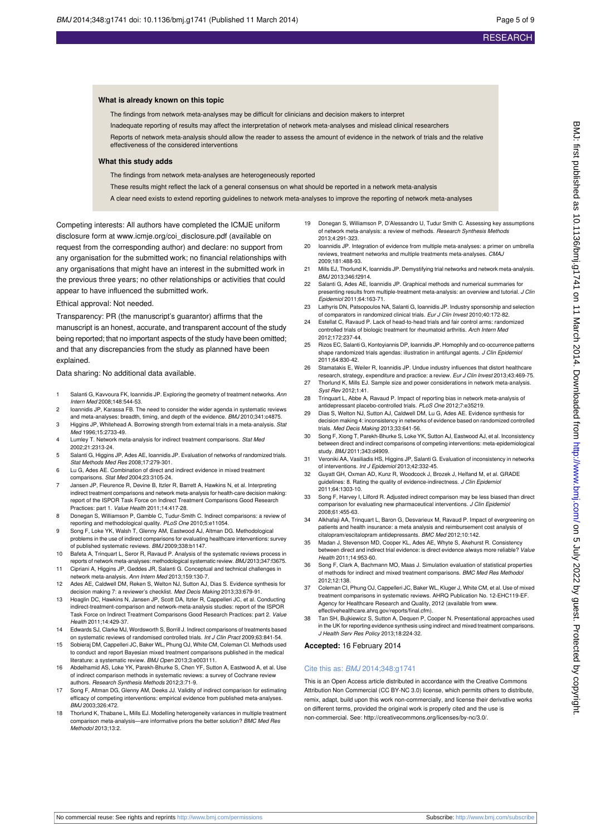#### **What is already known on this topic**

The findings from network meta-analyses may be difficult for clinicians and decision makers to interpret

Inadequate reporting of results may affect the interpretation of network meta-analyses and mislead clinical researchers

Reports of network meta-analysis should allow the reader to assess the amount of evidence in the network of trials and the relative effectiveness of the considered interventions

#### **What this study adds**

The findings from network meta-analyses are heterogeneously reported

- These results might reflect the lack of a general consensus on what should be reported in a network meta-analysis
- A clear need exists to extend reporting guidelines to network meta-analyses to improve the reporting of network meta-analyses

Competing interests: All authors have completed the ICMJE uniform disclosure form at [www.icmje.org/coi\\_disclosure.pdf](http://www.icmje.org/coi_disclosure.pdf) (available on request from the corresponding author) and declare: no support from any organisation for the submitted work; no financial relationships with any organisations that might have an interest in the submitted work in the previous three years; no other relationships or activities that could appear to have influenced the submitted work.

#### Ethical approval: Not needed.

Transparency: PR (the manuscript's guarantor) affirms that the manuscript is an honest, accurate, and transparent account of the study being reported; that no important aspects of the study have been omitted; and that any discrepancies from the study as planned have been explained.

#### Data sharing: No additional data available.

- 1 Salanti G, Kavvoura FK, Ioannidis JP. Exploring the geometry of treatment networks. Ann Intern Med 2008;148:544-53.
- 2 Ioannidis JP, Karassa FB. The need to consider the wider agenda in systematic reviews and meta-analyses: breadth, timing, and depth of the evidence. BMJ 2010;341:c4875.
- 3 Higgins JP, Whitehead A. Borrowing strength from external trials in a meta-analysis. Stat Med 1996;15:2733-49.
- 4 Lumley T. Network meta-analysis for indirect treatment comparisons. Stat Med 2002;21:2313-24.
- 5 Salanti G, Higgins JP, Ades AE, Ioannidis JP. Evaluation of networks of randomized trials. Stat Methods Med Res 2008;17:279-301.
- 6 Lu G, Ades AE. Combination of direct and indirect evidence in mixed treatment comparisons. Stat Med 2004;23:3105-24.
- 7 Jansen JP, Fleurence R, Devine B, Itzler R, Barrett A, Hawkins N, et al. Interpreting indirect treatment comparisons and network meta-analysis for health-care decision making: report of the ISPOR Task Force on Indirect Treatment Comparisons Good Research Practices: part 1. Value Health 2011;14:417-28.
- 8 Donegan S, Williamson P, Gamble C, Tudur-Smith C. Indirect comparisons: a review of reporting and methodological quality. PLoS One 2010;5:e11054.
- 9 Song F, Loke YK, Walsh T, Glenny AM, Eastwood AJ, Altman DG. Methodological problems in the use of indirect comparisons for evaluating healthcare interventions: survey .<br>of published systematic reviews. BMJ 2009;338:b1147.
- 10 Bafeta A, Trinquart L, Seror R, Ravaud P. Analysis of the systematic reviews process in reports of network meta-analyses: methodological systematic review. BMJ 2013;347:f3675.
- 11 Cipriani A, Higgins JP, Geddes JR, Salanti G. Conceptual and technical challenges in network meta-analysis. Ann Intern Med 2013;159:130-7.
- 12 Ades AE, Caldwell DM, Reken S, Welton NJ, Sutton AJ, Dias S. Evidence synthesis for decision making 7: a reviewer's checklist. Med Decis Making 2013;33:679-91.
- 13 Hoaglin DC, Hawkins N, Jansen JP, Scott DA, Itzler R, Cappelleri JC, et al. Conducting indirect-treatment-comparison and network-meta-analysis studies: report of the ISPOR Task Force on Indirect Treatment Comparisons Good Research Practices: part 2. Value Health 2011;14:429-37.
- 14 Edwards SJ, Clarke MJ, Wordsworth S, Borrill J. Indirect comparisons of treatments based on systematic reviews of randomised controlled trials. Int J Clin Pract 2009;63:841-54.
- 15 Sobieraj DM, Cappelleri JC, Baker WL, Phung OJ, White CM, Coleman CI. Methods used to conduct and report Bayesian mixed treatment comparisons published in the medical literature: a systematic review. BMJ Open 2013;3:e003111.
- 16 Abdelhamid AS, Loke YK, Parekh-Bhurke S, Chen YF, Sutton A, Eastwood A, et al. Use of indirect comparison methods in systematic reviews: a survey of Cochrane review authors. Research Synthesis Methods 2012;3:71-9.
- 17 Song F, Altman DG, Glenny AM, Deeks JJ. Validity of indirect comparison for estimating efficacy of competing interventions: empirical evidence from published meta-analyses. BMJ 2003;326:472.
- 18 Thorlund K, Thabane L, Mills EJ. Modelling heterogeneity variances in multiple treatment comparison meta-analysis—are informative priors the better solution? BMC Med Res Methodol 2013;13:2.
- 19 Donegan S, Williamson P, D'Alessandro U, Tudur Smith C. Assessing key assumptions of network meta-analysis: a review of methods. Research Synthesis Methods 2013;4:291-323.
- 20 Ioannidis JP. Integration of evidence from multiple meta-analyses: a primer on umbrella reviews, treatment networks and multiple treatments meta-analyses. CMAJ 2009;181:488-93.
- 21 Mills EJ, Thorlund K, Ioannidis JP. Demystifying trial networks and network meta-analysis. BMJ 2013;346:f2914.
- Salanti G, Ades AE, Ioannidis JP. Graphical methods and numerical summaries for presenting results from multiple-treatment meta-analysis: an overview and tutorial. J Clin Epidemiol 2011;64:163-71.
- 23 Lathyris DN, Patsopoulos NA, Salanti G, Ioannidis JP. Industry sponsorship and selection of comparators in randomized clinical trials. Eur J Clin Invest 2010;40:172-82.
- 24 Estellat C, Ravaud P. Lack of head-to-head trials and fair control arms: randomized controlled trials of biologic treatment for rheumatoid arthritis. Arch Intern Med 2012;172:237-44.
- 25 Rizos EC, Salanti G, Kontoyiannis DP, Ioannidis JP. Homophily and co-occurrence patterns shape randomized trials agendas: illustration in antifungal agents. J Clin Epidemiol 2011;64:830-42.
- 26 Stamatakis E, Weiler R, Ioannidis JP. Undue industry influences that distort healthcare research, strategy, expenditure and practice: a review. Eur J Clin Invest 2013;43:469-75.
- 27 Thorlund K, Mills EJ. Sample size and power considerations in network meta-analysis. Syst Rev 2012;1:41.
- 28 Trinquart L, Abbe A, Ravaud P. Impact of reporting bias in network meta-analysis of antidepressant placebo-controlled trials. PLoS One 2012;7:e35219.
- 29 Dias S, Welton NJ, Sutton AJ, Caldwell DM, Lu G, Ades AE. Evidence synthesis for decision making 4: inconsistency in networks of evidence based on randomized controlled trials. Med Decis Making 2013;33:641-56.
- 30 Song F, Xiong T, Parekh-Bhurke S, Loke YK, Sutton AJ, Eastwood AJ, et al. Inconsistency between direct and indirect comparisons of competing interventions: meta-epidemiological study. BMJ 2011;343:d4909.
- 31 Veroniki AA, Vasiliadis HS, Higgins JP, Salanti G. Evaluation of inconsistency in networks of interventions. Int J Epidemiol 2013;42:332-45.
- 32 Guyatt GH, Oxman AD, Kunz R, Woodcock J, Brozek J, Helfand M, et al. GRADE guidelines: 8. Rating the quality of evidence-indirectness. J Clin Epidemiol 2011;64:1303-10.
- 33 Song F, Harvey I, Lilford R. Adjusted indirect comparison may be less biased than direct comparison for evaluating new pharmaceutical interventions. J Clin Epidemiol 2008;61:455-63.
- 34 Alkhafaji AA, Trinquart L, Baron G, Desvarieux M, Ravaud P. Impact of evergreening on patients and health insurance: a meta analysis and reimbursement cost analysis of citalopram/escitalopram antidepressants. BMC Med 2012;10:142.
- 35 Madan J, Stevenson MD, Cooper KL, Ades AE, Whyte S, Akehurst R. Consistency between direct and indirect trial evidence: is direct evidence always more reliable? Value Health 2011;14:953-60.
- 36 Song F, Clark A, Bachmann MO, Maas J. Simulation evaluation of statistical properties of methods for indirect and mixed treatment comparisons. BMC Med Res Methodol 2012;12:138.
- 37 Coleman CI, Phung OJ, Cappelleri JC, Baker WL, Kluger J, White CM, et al. Use of mixed treatment comparisons in systematic reviews. AHRQ Publication No. 12-EHC119-EF. Agency for Healthcare Research and Quality, 2012 (available from [www.](http://www.effectivehealthcare.ahrq.gov/reports/final.cfm) [effectivehealthcare.ahrq.gov/reports/final.cfm](http://www.effectivehealthcare.ahrq.gov/reports/final.cfm)).
- Tan SH, Bujkiewicz S, Sutton A, Dequen P, Cooper N. Presentational approaches used in the UK for reporting evidence synthesis using indirect and mixed treatment comparisons. J Health Serv Res Policy 2013;18:224-32.

#### **Accepted:** 16 February 2014

#### Cite this as: BMJ 2014;348:g1741

This is an Open Access article distributed in accordance with the Creative Commons Attribution Non Commercial (CC BY-NC 3.0) license, which permits others to distribute, remix, adapt, build upon this work non-commercially, and license their derivative works on different terms, provided the original work is properly cited and the use is non-commercial. See:<http://creativecommons.org/licenses/by-nc/3.0/>.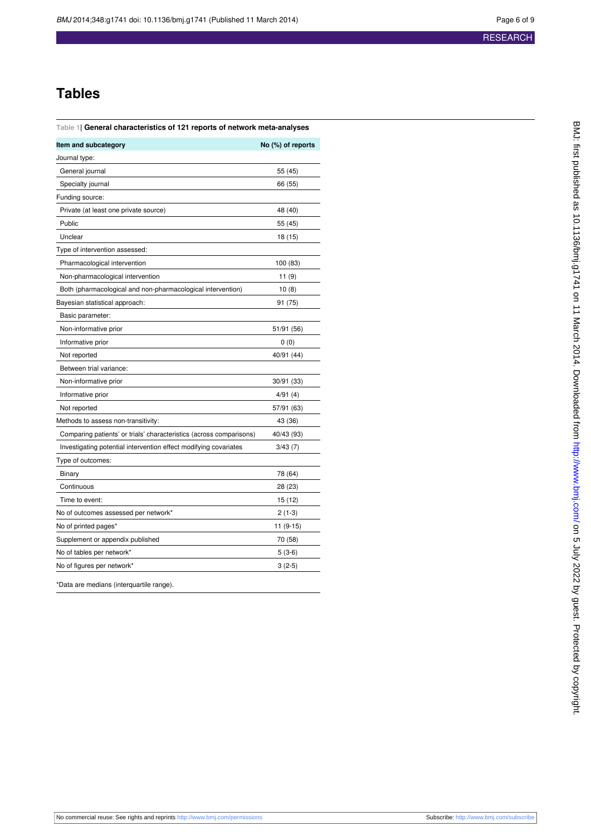### **RESEARCH**

# **Tables**

<span id="page-5-0"></span>

| Item and subcategory                                                | No (%) of reports |
|---------------------------------------------------------------------|-------------------|
| Journal type:                                                       |                   |
| General journal                                                     | 55 (45)           |
| Specialty journal                                                   | 66 (55)           |
| Funding source:                                                     |                   |
| Private (at least one private source)                               | 48 (40)           |
| Public                                                              | 55 (45)           |
| Unclear                                                             | 18 (15)           |
| Type of intervention assessed:                                      |                   |
| Pharmacological intervention                                        | 100 (83)          |
| Non-pharmacological intervention                                    | 11 (9)            |
| Both (pharmacological and non-pharmacological intervention)         | 10(8)             |
| Bayesian statistical approach:                                      | 91 (75)           |
| Basic parameter:                                                    |                   |
| Non-informative prior                                               | 51/91 (56)        |
| Informative prior                                                   | 0(0)              |
| Not reported                                                        | 40/91 (44)        |
| Between trial variance:                                             |                   |
| Non-informative prior                                               | 30/91 (33)        |
| Informative prior                                                   | 4/91(4)           |
| Not reported                                                        | 57/91 (63)        |
| Methods to assess non-transitivity:                                 | 43 (36)           |
| Comparing patients' or trials' characteristics (across comparisons) | 40/43 (93)        |
| Investigating potential intervention effect modifying covariates    | 3/43(7)           |
| Type of outcomes:                                                   |                   |
| Binary                                                              | 78 (64)           |
| Continuous                                                          | 28 (23)           |
| Time to event:                                                      | 15 (12)           |
| No of outcomes assessed per network*                                | $2(1-3)$          |
| No of printed pages*                                                | 11 (9-15)         |
| Supplement or appendix published                                    | 70 (58)           |
| No of tables per network*                                           | $5(3-6)$          |
| No of figures per network*                                          | 3 (2-5)           |
| *Data are medians (interquartile range).                            |                   |
|                                                                     |                   |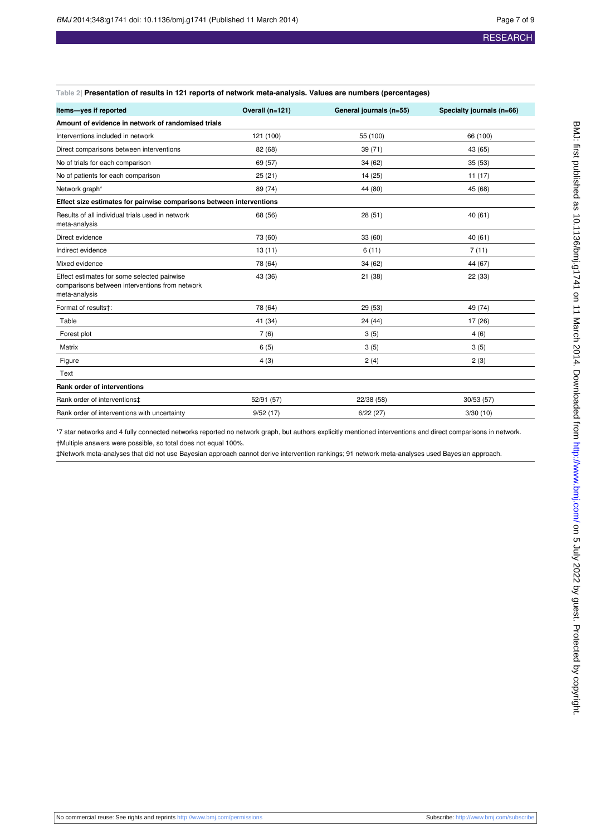#### <span id="page-6-0"></span>**Table 2| Presentation of results in 121 reports of network meta-analysis. Values are numbers (percentages)**

| Items-yes if reported                                                                                          | Overall (n=121) | General journals (n=55) | Specialty journals (n=66) |
|----------------------------------------------------------------------------------------------------------------|-----------------|-------------------------|---------------------------|
| Amount of evidence in network of randomised trials                                                             |                 |                         |                           |
| Interventions included in network                                                                              | 121 (100)       | 55 (100)                | 66 (100)                  |
| Direct comparisons between interventions                                                                       | 82 (68)         | 39(71)                  | 43 (65)                   |
| No of trials for each comparison                                                                               | 69 (57)         | 34 (62)                 | 35(53)                    |
| No of patients for each comparison                                                                             | 25(21)          | 14(25)                  | 11(17)                    |
| Network graph*                                                                                                 | 89 (74)         | 44 (80)                 | 45 (68)                   |
| Effect size estimates for pairwise comparisons between interventions                                           |                 |                         |                           |
| Results of all individual trials used in network<br>meta-analysis                                              | 68 (56)         | 28(51)                  | 40 (61)                   |
| Direct evidence                                                                                                | 73 (60)         | 33(60)                  | 40 (61)                   |
| Indirect evidence                                                                                              | 13(11)          | 6(11)                   | 7(11)                     |
| Mixed evidence                                                                                                 | 78 (64)         | 34 (62)                 | 44 (67)                   |
| Effect estimates for some selected pairwise<br>comparisons between interventions from network<br>meta-analysis | 43 (36)         | 21 (38)                 | 22 (33)                   |
| Format of results†:                                                                                            | 78 (64)         | 29 (53)                 | 49 (74)                   |
| Table                                                                                                          | 41 (34)         | 24 (44)                 | 17 (26)                   |
| Forest plot                                                                                                    | 7(6)            | 3(5)                    | 4(6)                      |
| Matrix                                                                                                         | 6(5)            | 3(5)                    | 3(5)                      |
| Figure                                                                                                         | 4(3)            | 2(4)                    | 2(3)                      |
| Text                                                                                                           |                 |                         |                           |
| <b>Rank order of interventions</b>                                                                             |                 |                         |                           |
| Rank order of interventions‡                                                                                   | 52/91 (57)      | 22/38 (58)              | 30/53(57)                 |
| Rank order of interventions with uncertainty                                                                   | 9/52(17)        | 6/22(27)                | 3/30(10)                  |

\*7 star networks and 4 fully connected networks reported no network graph, but authors explicitly mentioned interventions and direct comparisons in network. †Multiple answers were possible, so total does not equal 100%.

‡Network meta-analyses that did not use Bayesian approach cannot derive intervention rankings; 91 network meta-analyses used Bayesian approach.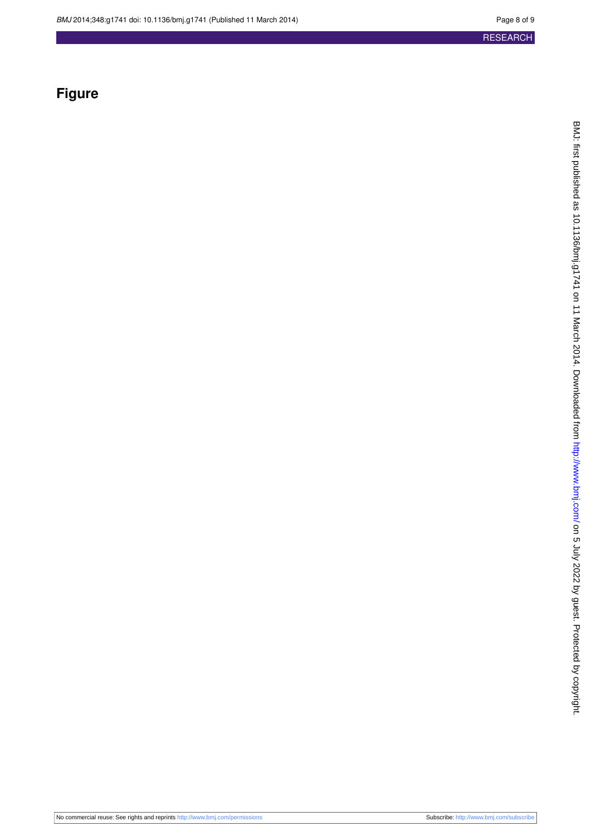# **Figure**

# **RESEARCH**